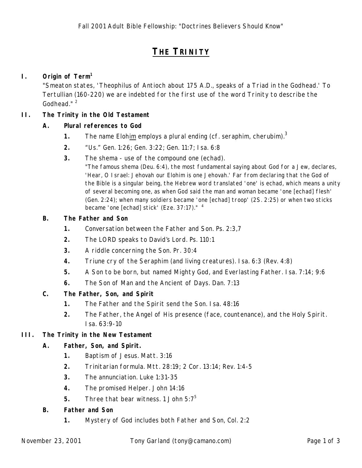# **THE TRINITY**

# **I. Origin of Term<sup>1</sup>**

"Smeaton states, 'Theophilus of Antioch about 175 A.D., speaks of a Triad in the Godhead.' To Tertullian (160-220) we are indebted for the first use of the word Trinity to describe the Godhead."<sup>2</sup>

## **II. The Trinity in the Old Testament**

## **A. Plural references to God**

- **1.** The name Elohim employs a plural ending (cf. *seraphim*, *cherubim*).<sup>3</sup>
- **2.** "Us." Gen. 1:26; Gen. 3:22; Gen. 11:7; Isa. 6:8
- **3.** The *shema* use of the compound one (echad).

"The famous shema (Deu. 6:4), the most fundamental saying about God for a Jew, declares, 'Hear, O Israel: Jehovah our Elohim is one Jehovah.' Far from declaring that the God of the Bible is a singular being, the Hebrew word translated 'one' is echad, which means a unity of several becoming one, as when God said the man and woman became 'one [echad] flesh' (Gen. 2:24); when many soldiers became 'one [echad] troop' (2S. 2:25) or when two sticks became 'one [echad] stick' (Eze. 37:17)."<sup>4</sup>

#### **B. The Father and Son**

- **1.** Conversation between the Father and Son. Ps. 2:3,7
- **2.** The LORD speaks to David's Lord. Ps. 110:1
- **3.** A riddle concerning the Son. Pr. 30:4
- **4.** Triune cry of the Seraphim (and living creatures). Isa. 6:3 (Rev. 4:8)
- **5.** A Son to be born, but named *Mighty God*, and *Everlasting Father*. Isa. 7:14; 9:6
- **6.** The Son of Man and the Ancient of Days. Dan. 7:13

# **C. The Father, Son, and Spirit**

- **1.** The Father and the Spirit send the Son. Isa. 48:16
- **2.** The Father, the Angel of His presence (face, countenance), and the Holy Spirit. Isa. 63:9-10

#### **III. The Trinity in the New Testament**

#### **A. Father, Son, and Spirit.**

- **1.** Baptism of Jesus. Matt. 3:16
- **2.** Trinitarian formula. Mtt. 28:19; 2 Cor. 13:14; Rev. 1:4-5
- **3.** The annunciation. Luke 1:31-35
- **4.** The promised Helper. John 14:16
- **5.** Three that bear witness. 1 John 5:7<sup>5</sup>

#### **B. Father and Son**

**1.** Mystery of God includes both Father and Son, Col. 2:2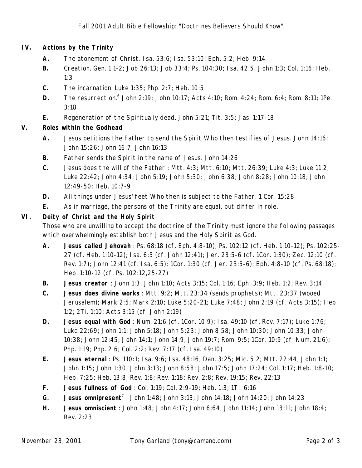## **IV. Actions by the Trinity**

- **A.** The atonement of Christ. Isa. 53:6; Isa. 53:10; Eph. 5:2; Heb. 9:14
- **B.** Creation. Gen. 1:1-2; Job 26:13; Job 33:4; Ps. 104:30; Isa. 42:5; John 1:3; Col. 1:16; Heb. 1:3
- **C.** The incarnation. Luke 1:35; Php. 2:7; Heb. 10:5
- **D.** The resurrection.<sup>6</sup> John 2:19; John 10:17; Acts 4:10; Rom. 4:24; Rom. 6:4; Rom. 8:11; 1Pe. 3:18
- **E.** Regeneration of the Spiritually dead. John 5:21; Tit. 3:5; Jas. 1:17-18

## **V. Roles within the Godhead**

- **A.** Jesus petitions the Father to send the Spirit Who then testifies of Jesus. John 14:16; John 15:26; John 16:7; John 16:13
- **B.** Father sends the Spirit in the name of Jesus. John 14:26
- **C.** Jesus does the will of the Father : Mtt. 4:3; Mtt. 6:10; Mtt. 26:39; Luke 4:3; Luke 11:2; Luke 22:42; John 4:34; John 5:19; John 5:30; John 6:38; John 8:28; John 10:18; John 12:49-50; Heb. 10:7-9
- **D.** All things under Jesus' feet Who then is subject to the Father. 1 Cor. 15:28
- **E.** As in marriage, the persons of the Trinity are equal, but differ in role.

# **VI. Deity of Christ and the Holy Spirit**

Those who are unwilling to accept the doctrine of the Trinity must ignore the following passages which overwhelmingly establish both Jesus and the Holy Spirit as God.

- **A. Jesus called Jehovah** : Ps. 68:18 (cf. Eph. 4:8-10); Ps. 102:12 (cf. Heb. 1:10-12); Ps. 102:25- 27 (cf. Heb. 1:10-12); Isa. 6:5 (cf. John 12:41); Jer. 23:5-6 (cf. 1Cor. 1:30); Zec. 12:10 (cf. Rev. 1:7); John 12:41 (cf. Isa. 6:5); 1Cor. 1:30 (cf. Jer. 23:5-6); Eph. 4:8-10 (cf. Ps. 68:18); Heb. 1:10-12 (cf. Ps. 102:12,25-27)
- **B. Jesus creator** : John 1:3; John 1:10; Acts 3:15; Col. 1:16; Eph. 3:9; Heb. 1:2; Rev. 3:14
- **C. Jesus does divine works** : Mtt. 9:2; Mtt. 23:34 (sends prophets); Mtt. 23:37 (wooed Jerusalem); Mark 2:5; Mark 2:10; Luke 5:20-21; Luke 7:48; John 2:19 (cf. Acts 3:15); Heb. 1:2; 2Ti. 1:10; Acts 3:15 (cf. John 2:19)
- **D. Jesus equal with God** : Num. 21:6 (cf. 1Cor. 10:9); Isa. 49:10 (cf. Rev. 7:17); Luke 1:76; Luke 22:69; John 1:1; John 5:18; John 5:23; John 8:58; John 10:30; John 10:33; John 10:38; John 12:45; John 14:1; John 14:9; John 19:7; Rom. 9:5; 1Cor. 10:9 (cf. Num. 21:6); Php. 1:19; Php. 2:6; Col. 2:2; Rev. 7:17 (cf. Isa. 49:10)
- **E. Jesus eternal** : Ps. 110:1; Isa. 9:6; Isa. 48:16; Dan. 3:25; Mic. 5:2; Mtt. 22:44; John 1:1; John 1:15; John 1:30; John 3:13; John 8:58; John 17:5; John 17:24; Col. 1:17; Heb. 1:8-10; Heb. 7:25; Heb. 13:8; Rev. 1:8; Rev. 1:18; Rev. 2:8; Rev. 19:15; Rev. 22:13
- **F. Jesus fullness of God** : Col. 1:19; Col. 2:9-19; Heb. 1:3; 1Ti. 6:16
- G. **Jesus omnipresent**<sup>7</sup>: John 1:48; John 3:13; John 14:18; John 14:20; John 14:23
- **H. Jesus omniscient** : John 1:48; John 4:17; John 6:64; John 11:14; John 13:11; John 18:4; Rev. 2:23